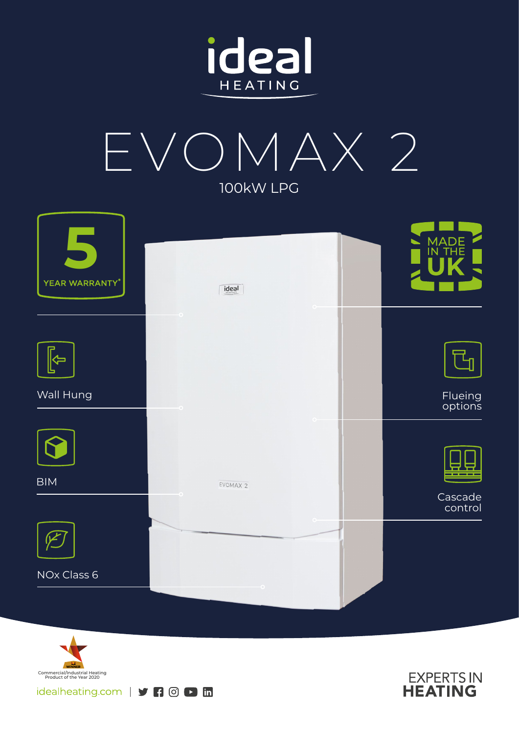



| YEAR WARRANTY* | $\frac{1}{2}$       | MADE<br>IN THE     |
|----------------|---------------------|--------------------|
|                | $\circ$             |                    |
| 与              |                     |                    |
| Wall Hung      |                     | Flueing<br>options |
|                |                     |                    |
| <b>BIM</b>     | EVOMAX <sub>2</sub> |                    |
|                |                     | Cascade<br>control |
|                |                     |                    |
| NOx Class 6    |                     |                    |
|                |                     |                    |



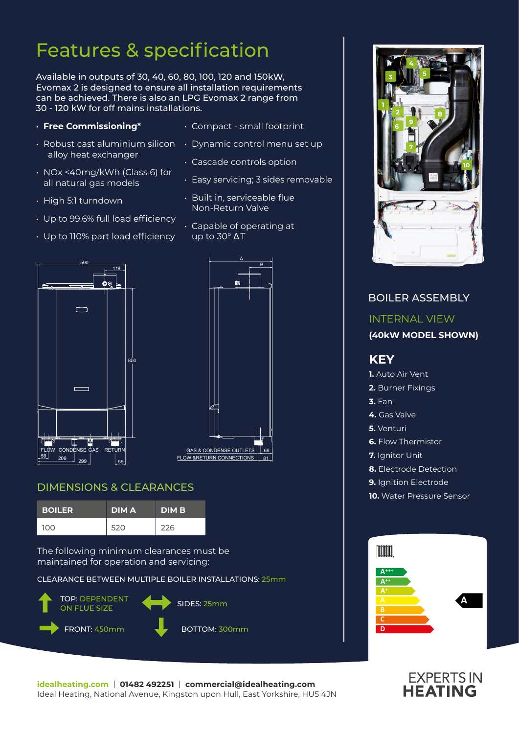# Features & specification

Available in outputs of 30, 40, 60, 80, 100, 120 and 150kW, Evomax 2 is designed to ensure all installation requirements can be achieved. There is also an LPG Evomax 2 range from 30 - 120 kW for off mains installations.

## • **Free Commissioning\***

- alloy heat exchanger
- NOx <40mg/kWh (Class 6) for all natural gas models
- High 5:1 turndown
- Up to 99.6% full load efficiency
- Up to 110% part load efficiency
- Compact small footprint
- $\cdot\,$  Robust cast aluminium silicon  $\, \,\cdot\,$  Dynamic control menu set up
	- Cascade controls option
	- Easy servicing; 3 sides removable
	- Built in, serviceable flue Non-Return Valve
	- Capable of operating at up to 30° Δ T





# DIMENSIONS & CLEARANCES

| <b>BOILER</b> | <b>DIMA</b> | <b>DIM B</b> |
|---------------|-------------|--------------|
| 100           | 520         | 226          |

The following minimum clearances must be maintained for operation and servicing:

CLEARANCE BETWEEN MULTIPLE BOILER INSTALLATIONS: 25mm





# BOILER ASSEMBLY INTERNAL VIEW **(40kW MODEL SHOWN) KEY 1.** Auto Air Vent **2.** Burner Fixings **3.** Fan **4.** Gas Valve **5.** Venturi **6.** Flow Thermistor **7.** Ianitor Unit **8.** Electrode Detection **9.** Ignition Electrode **10.** Water Pressure Sensor Imm **A+++ A++**

**A**

**C D**



**EXPERTS IN**<br>**HEATING** 

**A**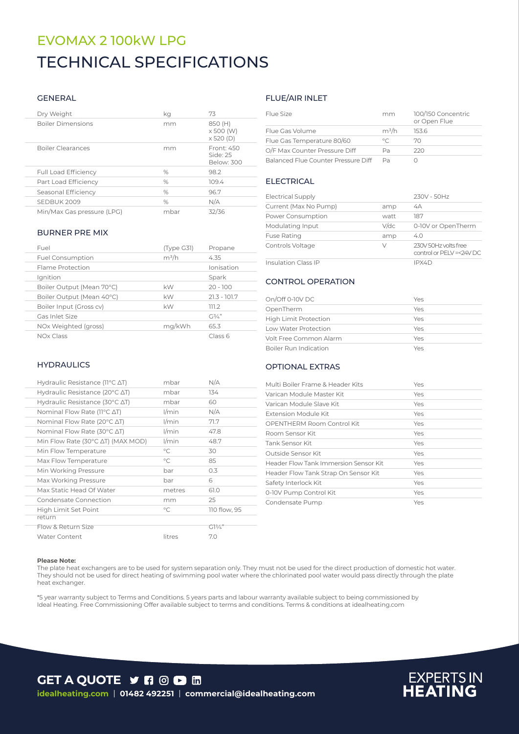# TECHNICAL SPECIFICATIONS EVOMAX 2 100kW LPG

#### GENERAL

| Dry Weight                  | kg   | 73                                       |
|-----------------------------|------|------------------------------------------|
| <b>Boiler Dimensions</b>    | mm   | 850 (H)<br>x 500 (W)<br>$\times$ 520 (D) |
| <b>Boiler Clearances</b>    | mm   | Front: 450<br>Side: 25<br>Below: 300     |
| <b>Full Load Efficiency</b> | $\%$ | 98.2                                     |
| Part Load Efficiency        | $\%$ | 109.4                                    |
| Seasonal Efficiency         | $\%$ | 96.7                                     |
| SEDBUK 2009                 | $\%$ | N/A                                      |
| Min/Max Gas pressure (LPG)  | mbar | 32/36                                    |

#### BURNER PRE MIX

| Fuel                      | (Type G31) | Propane            |
|---------------------------|------------|--------------------|
| <b>Fuel Consumption</b>   | $m^3/h$    | 4.35               |
| Flame Protection          |            | Ionisation         |
| Ignition                  |            | Spark              |
| Boiler Output (Mean 70°C) | kW         | $20 - 100$         |
| Boiler Output (Mean 40°C) | kW         | $21.3 - 101.7$     |
| Boiler Input (Gross cv)   | kW         | 111.2              |
| Gas Inlet Size            |            | $C13/\mu$ "        |
| NOx Weighted (gross)      | mg/kWh     | 65.3               |
| <b>NOx Class</b>          |            | Class <sub>6</sub> |

### **HYDRAULICS**

| Hydraulic Resistance ( $11^{\circ}$ C $\Delta$ T)   | mbar        | N/A             |
|-----------------------------------------------------|-------------|-----------------|
| Hydraulic Resistance (20°C ∆T)                      | mbar        | 134             |
| Hydraulic Resistance (30 $\degree$ C $\triangle$ T) | mbar        | 60              |
| Nominal Flow Rate (11 $^{\circ}$ C $\Delta$ T)      | l/min       | N/A             |
| Nominal Flow Rate (20 $\degree$ C $\triangle$ T)    | l/min       | 71.7            |
| Nominal Flow Rate (30°C ∆T)                         | l/min       | 47.8            |
| Min Flow Rate (30°C ∆T) (MAX MOD)                   | l/min       | 48.7            |
| Min Flow Temperature                                | $^{\circ}C$ | 30              |
| Max Flow Temperature                                | $^{\circ}C$ | 85              |
| Min Working Pressure                                | bar         | 0.3             |
| Max Working Pressure                                | bar         | 6               |
| Max Static Head Of Water                            | metres      | 61.0            |
| Condensate Connection                               | mm          | 25              |
| High Limit Set Point                                | $^{\circ}C$ | 110 flow, 95    |
| return                                              |             |                 |
| Flow & Return Size                                  |             | $G1\frac{1}{4}$ |
| <b>Water Content</b>                                | litres      | 7.0             |

### FLUE/AIR INLET

| Elue Size                           | mm      | 100/150 Concentric<br>or Open Flue |
|-------------------------------------|---------|------------------------------------|
| Flue Gas Volume                     | $m^3/h$ | 1536                               |
| Flue Gas Temperature 80/60          | $\circ$ | 70                                 |
| O/F Max Counter Pressure Diff       | Pa      | 22O                                |
| Balanced Flue Counter Pressure Diff | Da      |                                    |

### **ELECTRICAL**

| <b>Electrical Supply</b>   |         | 230V - 50Hz                                     |
|----------------------------|---------|-------------------------------------------------|
| Current (Max No Pump)      | amp     | 4A                                              |
| Power Consumption          | watt    | 187                                             |
| Modulating Input           | $V$ /dc | 0-10V or OpenTherm                              |
| <b>Fuse Rating</b>         | amp     | 4.0                                             |
| Controls Voltage           | V       | 230V 50Hz volts free<br>control or PELV=<24V DC |
| <b>Insulation Class IP</b> |         | IPX4D                                           |

### - CONTROL OPERATION

| On/Off 0-10V DC              | Yes |
|------------------------------|-----|
| OpenTherm                    | Yes |
| <b>High Limit Protection</b> | Yes |
| Low Water Protection         | Yes |
| Volt Free Common Alarm       | Yes |
| Boiler Run Indication        | Yes |

### OPTIONAL EXTRAS

| Multi Boiler Frame & Header Kits      | Yes |
|---------------------------------------|-----|
| Varican Module Master Kit             | Yes |
| Varican Module Slave Kit              | Yes |
| Extension Module Kit                  | Yes |
| OPENTHERM Room Control Kit            | Yes |
| Room Sensor Kit                       | Yes |
| Tank Sensor Kit                       | Yes |
| Outside Sensor Kit                    | Yes |
| Header Flow Tank Immersion Sensor Kit | Yes |
| Header Flow Tank Strap On Sensor Kit  | Yes |
| Safety Interlock Kit                  | Yes |
| 0-10V Pump Control Kit                | Yes |
| Condensate Pump                       | Yes |

#### **Please Note:**

The plate heat exchangers are to be used for system separation only. They must not be used for the direct production of domestic hot water. They should not be used for direct heating of swimming pool water where the chlorinated pool water would pass directly through the plate heat exchanger.

\*5 year warranty subject to Terms and Conditions. 5 years parts and labour warranty available subject to being commissioned by Ideal Heating. Free Commissioning Offer available subject to terms and conditions. Terms & conditions at idealheating.com